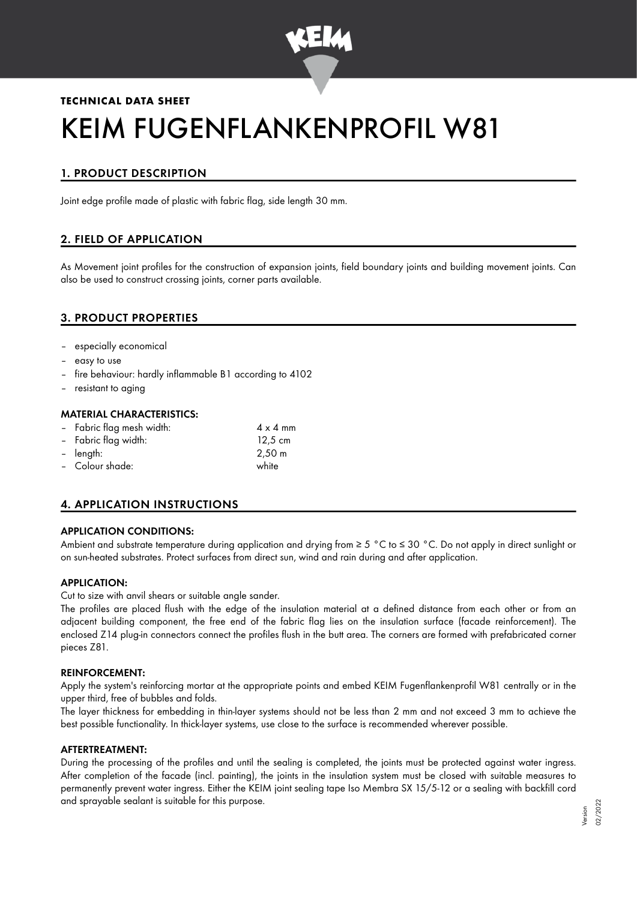

# **TECHNICAL DATA SHEET** KEIM FUGENFLANKENPROFIL W81

# 1. PRODUCT DESCRIPTION

Joint edge profile made of plastic with fabric flag, side length 30 mm.

## 2. FIELD OF APPLICATION

As Movement joint profiles for the construction of expansion joints, field boundary joints and building movement joints. Can also be used to construct crossing joints, corner parts available.

## 3. PRODUCT PROPERTIES

- especially economical
- easy to use
- fire behaviour: hardly inflammable B1 according to 4102
- resistant to aging

#### MATERIAL CHARACTERISTICS:

| - Fabric flag mesh width: | $4 \times 4$ mm    |
|---------------------------|--------------------|
| - Fabric flag width:      | $12.5 \text{ cm}$  |
| - length:                 | $2,50 \; \text{m}$ |

– Colour shade: white

## 4. APPLICATION INSTRUCTIONS

## APPLICATION CONDITIONS:

Ambient and substrate temperature during application and drying from ≥ 5 °C to ≤ 30 °C. Do not apply in direct sunlight or on sun-heated substrates. Protect surfaces from direct sun, wind and rain during and after application.

## APPLICATION:

Cut to size with anvil shears or suitable angle sander.

The profiles are placed flush with the edge of the insulation material at a defined distance from each other or from an adjacent building component, the free end of the fabric flag lies on the insulation surface (facade reinforcement). The enclosed Z14 plug-in connectors connect the profiles flush in the butt area. The corners are formed with prefabricated corner pieces Z81.

#### REINFORCEMENT:

Apply the system's reinforcing mortar at the appropriate points and embed KEIM Fugenflankenprofil W81 centrally or in the upper third, free of bubbles and folds.

The layer thickness for embedding in thin-layer systems should not be less than 2 mm and not exceed 3 mm to achieve the best possible functionality. In thick-layer systems, use close to the surface is recommended wherever possible.

#### AFTERTREATMENT:

During the processing of the profiles and until the sealing is completed, the joints must be protected against water ingress. After completion of the facade (incl. painting), the joints in the insulation system must be closed with suitable measures to permanently prevent water ingress. Either the KEIM joint sealing tape Iso Membra SX 15/5-12 or a sealing with backfill cord and sprayable sealant is suitable for this purpose.